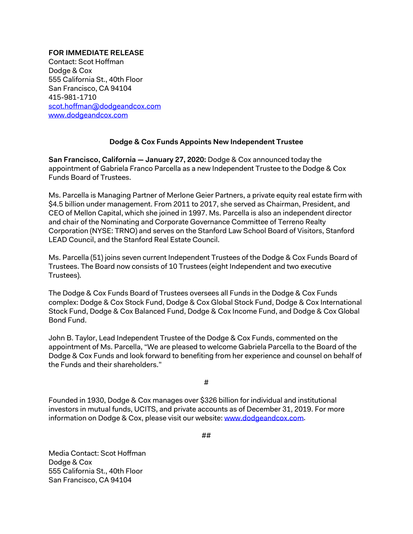## **FOR IMMEDIATE RELEASE**

Contact: Scot Hoffman Dodge & Cox 555 California St., 40th Floor San Francisco, CA 94104 415-981-1710 [scot.hoffman@dodgeandcox.com](mailto:scot.hoffman@dodgeandcox.com) [www.dodgeandcox.com](http://www.dodgeandcox.com/)

## **Dodge & Cox Funds Appoints New Independent Trustee**

**San Francisco, California — January 27, 2020:** Dodge & Cox announced today the appointment of Gabriela Franco Parcella as a new Independent Trustee to the Dodge & Cox Funds Board of Trustees.

Ms. Parcella is Managing Partner of Merlone Geier Partners, a private equity real estate firm with \$4.5 billion under management. From 2011 to 2017, she served as Chairman, President, and CEO of Mellon Capital, which she joined in 1997. Ms. Parcella is also an independent director and chair of the Nominating and Corporate Governance Committee of Terreno Realty Corporation (NYSE: TRNO) and serves on the Stanford Law School Board of Visitors, Stanford LEAD Council, and the Stanford Real Estate Council.

Ms. Parcella (51) joins seven current Independent Trustees of the Dodge & Cox Funds Board of Trustees. The Board now consists of 10 Trustees (eight Independent and two executive Trustees).

The Dodge & Cox Funds Board of Trustees oversees all Funds in the Dodge & Cox Funds complex: Dodge & Cox Stock Fund, Dodge & Cox Global Stock Fund, Dodge & Cox International Stock Fund, Dodge & Cox Balanced Fund, Dodge & Cox Income Fund, and Dodge & Cox Global Bond Fund.

John B. Taylor, Lead Independent Trustee of the Dodge & Cox Funds, commented on the appointment of Ms. Parcella, "We are pleased to welcome Gabriela Parcella to the Board of the Dodge & Cox Funds and look forward to benefiting from her experience and counsel on behalf of the Funds and their shareholders."

#

Founded in 1930, Dodge & Cox manages over \$326 billion for individual and institutional investors in mutual funds, UCITS, and private accounts as of December 31, 2019. For more information on Dodge & Cox, please visit our website[: www.dodgeandcox.com.](http://www.dodgeandcox.com/)

##

Media Contact: Scot Hoffman Dodge & Cox 555 California St., 40th Floor San Francisco, CA 94104